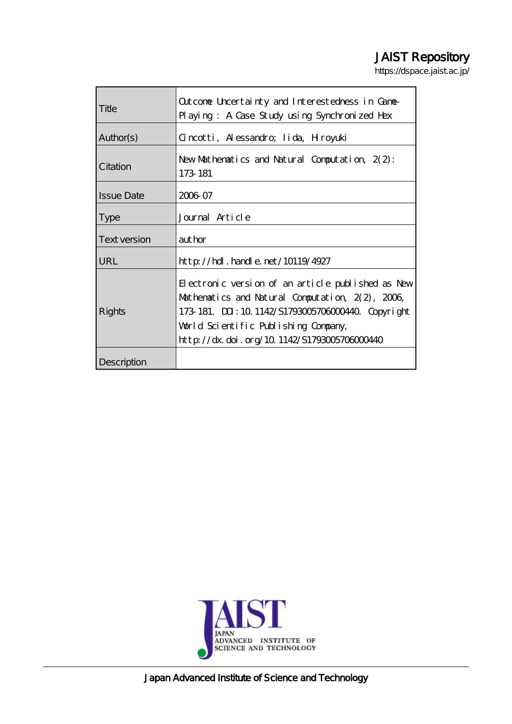# JAIST Repository

https://dspace.jaist.ac.jp/

| Title             | Outcome Uncertainty and Interestedness in Game-<br>Playing: A Case Study using Synchronized Hex                                                                                                                                                   |
|-------------------|---------------------------------------------------------------------------------------------------------------------------------------------------------------------------------------------------------------------------------------------------|
| Author(s)         | Gincotti, Alessandro, Iida, Hiroyuki                                                                                                                                                                                                              |
| Citation          | New Mathematics and Natural Computation, $2(2)$ :<br>173 181                                                                                                                                                                                      |
| <b>Issue Date</b> | 2006 07                                                                                                                                                                                                                                           |
| <b>Type</b>       | Journal Article                                                                                                                                                                                                                                   |
| Text version      | author                                                                                                                                                                                                                                            |
| <b>URL</b>        | $http$ // $rdl$ . handle. net/10119/4927                                                                                                                                                                                                          |
| Rights            | Electronic version of an article published as New<br>Mathematics and Natural Computation, 2(2), 2006,<br>173 181. DJ: 10 1142/S1793005706000440. Copyright<br>World Scientific Publishing Company,<br>http://dx.doi.org/10.1142/S1793005703000440 |
| Description       |                                                                                                                                                                                                                                                   |



Japan Advanced Institute of Science and Technology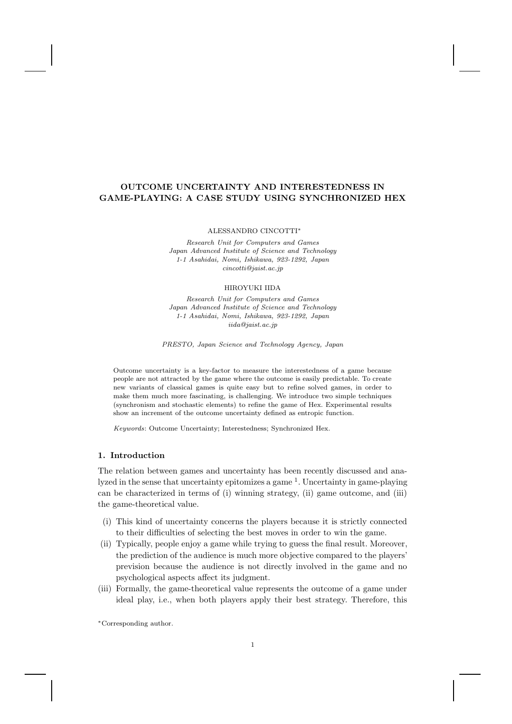## OUTCOME UNCERTAINTY AND INTERESTEDNESS IN GAME-PLAYING: A CASE STUDY USING SYNCHRONIZED HEX

ALESSANDRO CINCOTTI∗

Research Unit for Computers and Games Japan Advanced Institute of Science and Technology 1-1 Asahidai, Nomi, Ishikawa, 923-1292, Japan cincotti@jaist.ac.jp

#### HIROYUKI IIDA

Research Unit for Computers and Games Japan Advanced Institute of Science and Technology 1-1 Asahidai, Nomi, Ishikawa, 923-1292, Japan iida@jaist.ac.jp

PRESTO, Japan Science and Technology Agency, Japan

Outcome uncertainty is a key-factor to measure the interestedness of a game because people are not attracted by the game where the outcome is easily predictable. To create new variants of classical games is quite easy but to refine solved games, in order to make them much more fascinating, is challenging. We introduce two simple techniques (synchronism and stochastic elements) to refine the game of Hex. Experimental results show an increment of the outcome uncertainty defined as entropic function.

Keywords: Outcome Uncertainty; Interestedness; Synchronized Hex.

#### 1. Introduction

The relation between games and uncertainty has been recently discussed and analyzed in the sense that uncertainty epitomizes a game <sup>1</sup>. Uncertainty in game-playing can be characterized in terms of (i) winning strategy, (ii) game outcome, and (iii) the game-theoretical value.

- (i) This kind of uncertainty concerns the players because it is strictly connected to their difficulties of selecting the best moves in order to win the game.
- (ii) Typically, people enjoy a game while trying to guess the final result. Moreover, the prediction of the audience is much more objective compared to the players' prevision because the audience is not directly involved in the game and no psychological aspects affect its judgment.
- (iii) Formally, the game-theoretical value represents the outcome of a game under ideal play, i.e., when both players apply their best strategy. Therefore, this

∗Corresponding author.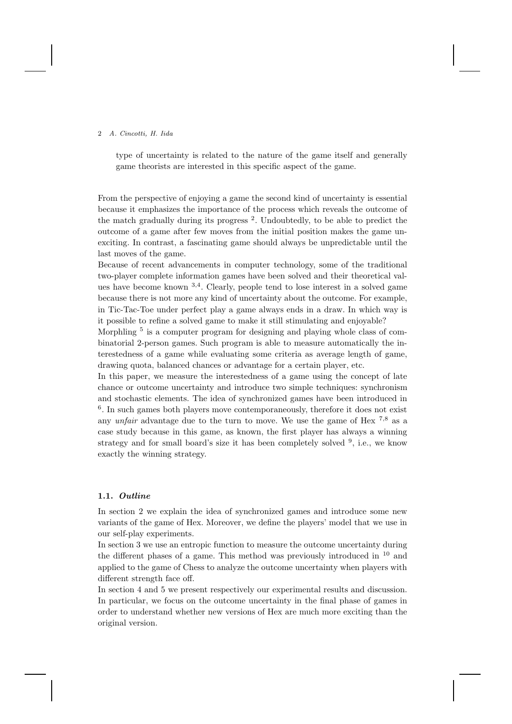type of uncertainty is related to the nature of the game itself and generally game theorists are interested in this specific aspect of the game.

From the perspective of enjoying a game the second kind of uncertainty is essential because it emphasizes the importance of the process which reveals the outcome of the match gradually during its progress<sup>2</sup>. Undoubtedly, to be able to predict the outcome of a game after few moves from the initial position makes the game unexciting. In contrast, a fascinating game should always be unpredictable until the last moves of the game.

Because of recent advancements in computer technology, some of the traditional two-player complete information games have been solved and their theoretical values have become known <sup>3,4</sup>. Clearly, people tend to lose interest in a solved game because there is not more any kind of uncertainty about the outcome. For example, in Tic-Tac-Toe under perfect play a game always ends in a draw. In which way is it possible to refine a solved game to make it still stimulating and enjoyable?

Morphling<sup>5</sup> is a computer program for designing and playing whole class of combinatorial 2-person games. Such program is able to measure automatically the interestedness of a game while evaluating some criteria as average length of game, drawing quota, balanced chances or advantage for a certain player, etc.

In this paper, we measure the interestedness of a game using the concept of late chance or outcome uncertainty and introduce two simple techniques: synchronism and stochastic elements. The idea of synchronized games have been introduced in <sup>6</sup>. In such games both players move contemporaneously, therefore it does not exist any *unfair* advantage due to the turn to move. We use the game of Hex  $^{7,8}$  as a case study because in this game, as known, the first player has always a winning strategy and for small board's size it has been completely solved <sup>9</sup>, i.e., we know exactly the winning strategy.

## 1.1. Outline

In section 2 we explain the idea of synchronized games and introduce some new variants of the game of Hex. Moreover, we define the players' model that we use in our self-play experiments.

In section 3 we use an entropic function to measure the outcome uncertainty during the different phases of a game. This method was previously introduced in  $10$  and applied to the game of Chess to analyze the outcome uncertainty when players with different strength face off.

In section 4 and 5 we present respectively our experimental results and discussion. In particular, we focus on the outcome uncertainty in the final phase of games in order to understand whether new versions of Hex are much more exciting than the original version.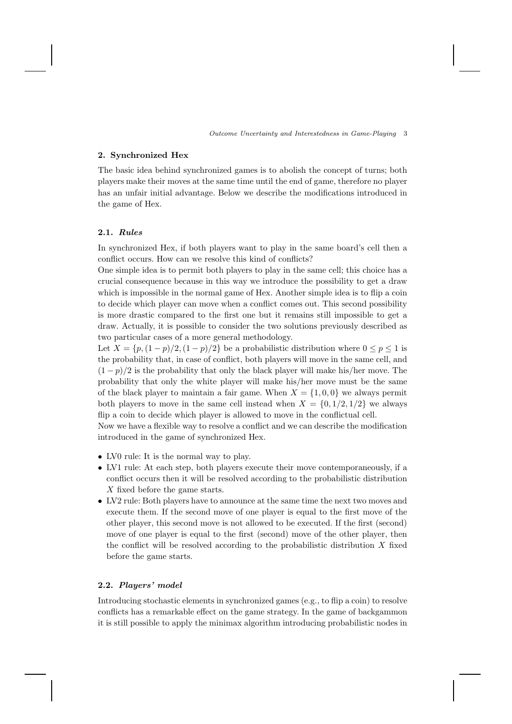## 2. Synchronized Hex

The basic idea behind synchronized games is to abolish the concept of turns; both players make their moves at the same time until the end of game, therefore no player has an unfair initial advantage. Below we describe the modifications introduced in the game of Hex.

# 2.1. Rules

In synchronized Hex, if both players want to play in the same board's cell then a conflict occurs. How can we resolve this kind of conflicts?

One simple idea is to permit both players to play in the same cell; this choice has a crucial consequence because in this way we introduce the possibility to get a draw which is impossible in the normal game of Hex. Another simple idea is to flip a coin to decide which player can move when a conflict comes out. This second possibility is more drastic compared to the first one but it remains still impossible to get a draw. Actually, it is possible to consider the two solutions previously described as two particular cases of a more general methodology.

Let  $X = \{p,(1-p)/2,(1-p)/2\}$  be a probabilistic distribution where  $0 \le p \le 1$  is the probability that, in case of conflict, both players will move in the same cell, and  $(1-p)/2$  is the probability that only the black player will make his/her move. The probability that only the white player will make his/her move must be the same of the black player to maintain a fair game. When  $X = \{1, 0, 0\}$  we always permit both players to move in the same cell instead when  $X = \{0, 1/2, 1/2\}$  we always flip a coin to decide which player is allowed to move in the conflictual cell.

Now we have a flexible way to resolve a conflict and we can describe the modification introduced in the game of synchronized Hex.

- LV0 rule: It is the normal way to play.
- LV1 rule: At each step, both players execute their move contemporaneously, if a conflict occurs then it will be resolved according to the probabilistic distribution X fixed before the game starts.
- LV2 rule: Both players have to announce at the same time the next two moves and execute them. If the second move of one player is equal to the first move of the other player, this second move is not allowed to be executed. If the first (second) move of one player is equal to the first (second) move of the other player, then the conflict will be resolved according to the probabilistic distribution  $X$  fixed before the game starts.

#### 2.2. Players' model

Introducing stochastic elements in synchronized games (e.g., to flip a coin) to resolve conflicts has a remarkable effect on the game strategy. In the game of backgammon it is still possible to apply the minimax algorithm introducing probabilistic nodes in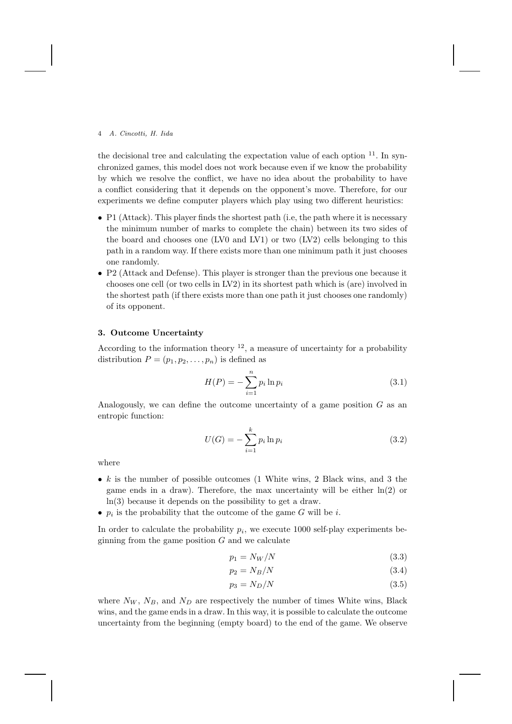the decisional tree and calculating the expectation value of each option <sup>11</sup>. In synchronized games, this model does not work because even if we know the probability by which we resolve the conflict, we have no idea about the probability to have a conflict considering that it depends on the opponent's move. Therefore, for our experiments we define computer players which play using two different heuristics:

- P1 (Attack). This player finds the shortest path (i.e, the path where it is necessary the minimum number of marks to complete the chain) between its two sides of the board and chooses one (LV0 and LV1) or two (LV2) cells belonging to this path in a random way. If there exists more than one minimum path it just chooses one randomly.
- P2 (Attack and Defense). This player is stronger than the previous one because it chooses one cell (or two cells in LV2) in its shortest path which is (are) involved in the shortest path (if there exists more than one path it just chooses one randomly) of its opponent.

## 3. Outcome Uncertainty

According to the information theory  $^{12}$ , a measure of uncertainty for a probability distribution  $P = (p_1, p_2, \ldots, p_n)$  is defined as

$$
H(P) = -\sum_{i=1}^{n} p_i \ln p_i
$$
 (3.1)

Analogously, we can define the outcome uncertainty of a game position  $G$  as an entropic function:

$$
U(G) = -\sum_{i=1}^{k} p_i \ln p_i
$$
\n(3.2)

where

- $k$  is the number of possible outcomes (1 White wins, 2 Black wins, and 3 the game ends in a draw). Therefore, the max uncertainty will be either  $ln(2)$  or ln(3) because it depends on the possibility to get a draw.
- $p_i$  is the probability that the outcome of the game G will be *i*.

In order to calculate the probability  $p_i$ , we execute 1000 self-play experiments beginning from the game position  $G$  and we calculate

$$
p_1 = N_W/N \tag{3.3}
$$

$$
p_2 = N_B/N \tag{3.4}
$$

$$
p_3 = N_D/N\tag{3.5}
$$

where  $N_W$ ,  $N_B$ , and  $N_D$  are respectively the number of times White wins, Black wins, and the game ends in a draw. In this way, it is possible to calculate the outcome uncertainty from the beginning (empty board) to the end of the game. We observe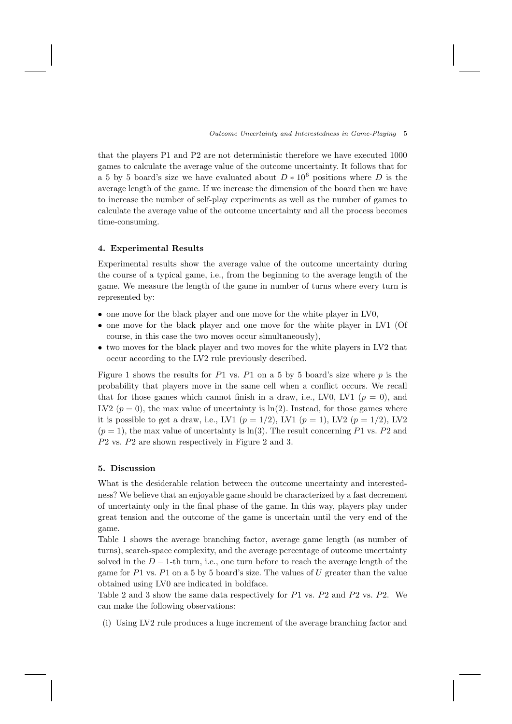that the players P1 and P2 are not deterministic therefore we have executed 1000 games to calculate the average value of the outcome uncertainty. It follows that for a 5 by 5 board's size we have evaluated about  $D * 10^6$  positions where D is the average length of the game. If we increase the dimension of the board then we have to increase the number of self-play experiments as well as the number of games to calculate the average value of the outcome uncertainty and all the process becomes time-consuming.

## 4. Experimental Results

Experimental results show the average value of the outcome uncertainty during the course of a typical game, i.e., from the beginning to the average length of the game. We measure the length of the game in number of turns where every turn is represented by:

- one move for the black player and one move for the white player in LV0,
- one move for the black player and one move for the white player in LV1 (Of course, in this case the two moves occur simultaneously),
- two moves for the black player and two moves for the white players in LV2 that occur according to the LV2 rule previously described.

Figure 1 shows the results for  $P1$  vs.  $P1$  on a 5 by 5 board's size where p is the probability that players move in the same cell when a conflict occurs. We recall that for those games which cannot finish in a draw, i.e., LV0, LV1 ( $p = 0$ ), and LV2 ( $p = 0$ ), the max value of uncertainty is  $\ln(2)$ . Instead, for those games where it is possible to get a draw, i.e., LV1 ( $p = 1/2$ ), LV1 ( $p = 1$ ), LV2 ( $p = 1/2$ ), LV2  $(p = 1)$ , the max value of uncertainty is ln(3). The result concerning P1 vs. P2 and P2 vs. P2 are shown respectively in Figure 2 and 3.

## 5. Discussion

What is the desiderable relation between the outcome uncertainty and interestedness? We believe that an enjoyable game should be characterized by a fast decrement of uncertainty only in the final phase of the game. In this way, players play under great tension and the outcome of the game is uncertain until the very end of the game.

Table 1 shows the average branching factor, average game length (as number of turns), search-space complexity, and the average percentage of outcome uncertainty solved in the  $D-1$ -th turn, i.e., one turn before to reach the average length of the game for  $P1$  vs.  $P1$  on a 5 by 5 board's size. The values of U greater than the value obtained using LV0 are indicated in boldface.

Table 2 and 3 show the same data respectively for P1 vs. P2 and P2 vs. P2. We can make the following observations:

(i) Using LV2 rule produces a huge increment of the average branching factor and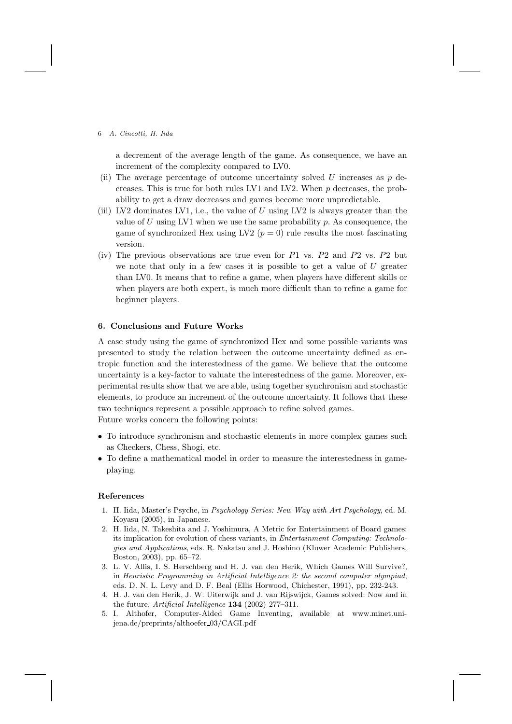a decrement of the average length of the game. As consequence, we have an increment of the complexity compared to LV0.

- (ii) The average percentage of outcome uncertainty solved  $U$  increases as  $p$  decreases. This is true for both rules LV1 and LV2. When  $p$  decreases, the probability to get a draw decreases and games become more unpredictable.
- (iii) LV2 dominates LV1, i.e., the value of  $U$  using LV2 is always greater than the value of U using LV1 when we use the same probability  $p$ . As consequence, the game of synchronized Hex using LV2 ( $p = 0$ ) rule results the most fascinating version.
- (iv) The previous observations are true even for P1 vs. P2 and P2 vs. P2 but we note that only in a few cases it is possible to get a value of  $U$  greater than LV0. It means that to refine a game, when players have different skills or when players are both expert, is much more difficult than to refine a game for beginner players.

#### 6. Conclusions and Future Works

A case study using the game of synchronized Hex and some possible variants was presented to study the relation between the outcome uncertainty defined as entropic function and the interestedness of the game. We believe that the outcome uncertainty is a key-factor to valuate the interestedness of the game. Moreover, experimental results show that we are able, using together synchronism and stochastic elements, to produce an increment of the outcome uncertainty. It follows that these two techniques represent a possible approach to refine solved games.

Future works concern the following points:

- To introduce synchronism and stochastic elements in more complex games such as Checkers, Chess, Shogi, etc.
- To define a mathematical model in order to measure the interestedness in gameplaying.

#### References

- 1. H. Iida, Master's Psyche, in Psychology Series: New Way with Art Psychology, ed. M. Koyasu (2005), in Japanese.
- 2. H. Iida, N. Takeshita and J. Yoshimura, A Metric for Entertainment of Board games: its implication for evolution of chess variants, in Entertainment Computing: Technologies and Applications, eds. R. Nakatsu and J. Hoshino (Kluwer Academic Publishers, Boston, 2003), pp. 65–72.
- 3. L. V. Allis, I. S. Herschberg and H. J. van den Herik, Which Games Will Survive?, in Heuristic Programming in Artificial Intelligence 2: the second computer olympiad, eds. D. N. L. Levy and D. F. Beal (Ellis Horwood, Chichester, 1991), pp. 232-243.
- 4. H. J. van den Herik, J. W. Uiterwijk and J. van Rijswijck, Games solved: Now and in the future, Artificial Intelligence 134 (2002) 277–311.
- 5. I. Althofer, Computer-Aided Game Inventing, available at www.minet.unijena.de/preprints/althoefer 03/CAGI.pdf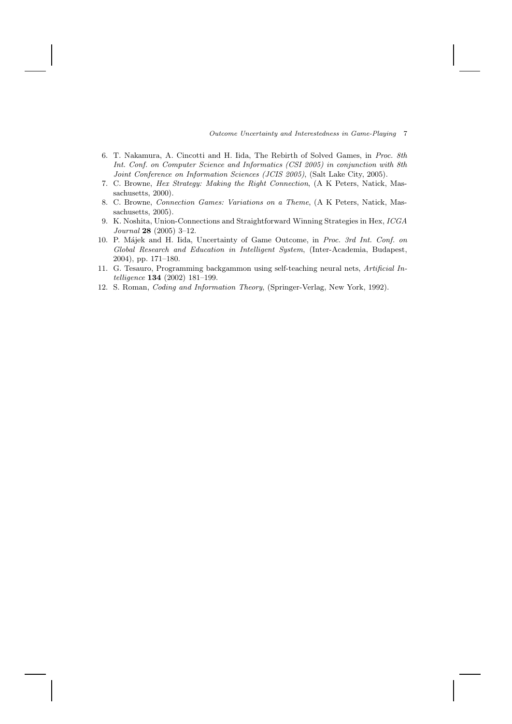Outcome Uncertainty and Interestedness in Game-Playing 7

- 6. T. Nakamura, A. Cincotti and H. Iida, The Rebirth of Solved Games, in Proc. 8th Int. Conf. on Computer Science and Informatics (CSI 2005) in conjunction with 8th Joint Conference on Information Sciences (JCIS 2005), (Salt Lake City, 2005).
- 7. C. Browne, Hex Strategy: Making the Right Connection, (A K Peters, Natick, Massachusetts, 2000).
- 8. C. Browne, Connection Games: Variations on a Theme, (A K Peters, Natick, Massachusetts, 2005).
- 9. K. Noshita, Union-Connections and Straightforward Winning Strategies in Hex, ICGA Journal 28 (2005) 3–12.
- 10. P. M´ajek and H. Iida, Uncertainty of Game Outcome, in Proc. 3rd Int. Conf. on Global Research and Education in Intelligent System, (Inter-Academia, Budapest, 2004), pp. 171–180.
- 11. G. Tesauro, Programming backgammon using self-teaching neural nets, Artificial Intelligence 134 (2002) 181–199.
- 12. S. Roman, Coding and Information Theory, (Springer-Verlag, New York, 1992).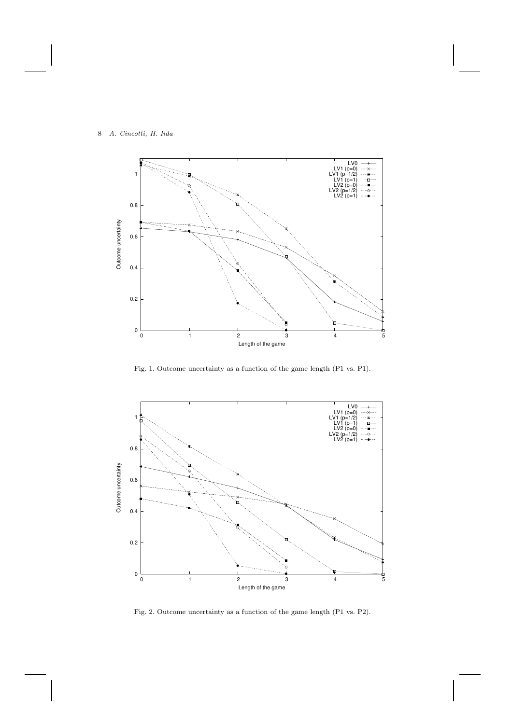

Fig. 1. Outcome uncertainty as a function of the game length (P1 vs. P1).



Fig. 2. Outcome uncertainty as a function of the game length (P1 vs. P2).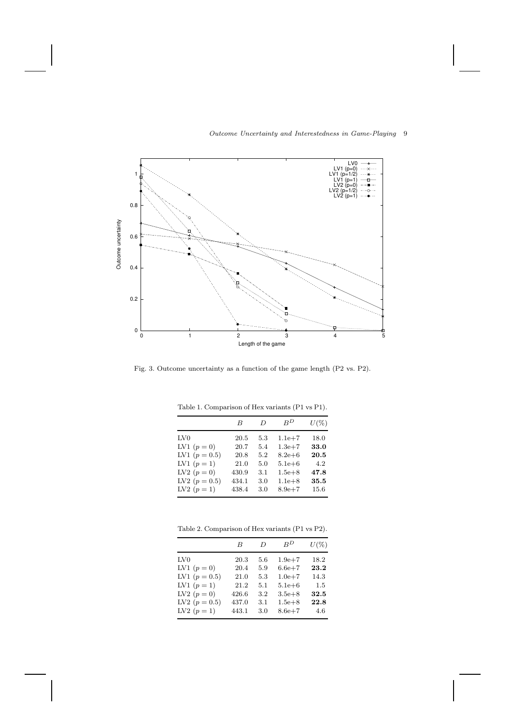

# Outcome Uncertainty and Interestedness in Game-Playing 9

Fig. 3. Outcome uncertainty as a function of the game length (P2 vs. P2).

|                 | B     | D   | $B^D$      | $U(\%)$ |
|-----------------|-------|-----|------------|---------|
| LV <sub>0</sub> | 20.5  | 5.3 | $1.1e + 7$ | 18.0    |
| LV1 $(p = 0)$   | 20.7  | 5.4 | $1.3e + 7$ | 33.0    |
| LV1 $(p = 0.5)$ | 20.8  | 5.2 | $8.2e + 6$ | 20.5    |
| LV1 $(p = 1)$   | 21.0  | 5.0 | $5.1e + 6$ | 4.2     |
| LV2 $(p = 0)$   | 430.9 | 3.1 | $1.5e + 8$ | 47.8    |
| LV2 $(p = 0.5)$ | 434.1 | 3.0 | $1.1e + 8$ | 35.5    |
| LV2 $(p = 1)$   | 438.4 | 3.0 | $8.9e + 7$ | 15.6    |

Table 1. Comparison of Hex variants (P1 vs P1).

Table 2. Comparison of Hex variants (P1 vs P2).

|                 | B     | D   | $B^D$      | $U(\%)$ |
|-----------------|-------|-----|------------|---------|
| LV <sub>0</sub> | 20.3  | 5.6 | $1.9e + 7$ | 18.2    |
| LV1 $(p = 0)$   | 20.4  | 5.9 | $6.6e + 7$ | 23.2    |
| LV1 $(p = 0.5)$ | 21.0  | 5.3 | $1.0e + 7$ | 14.3    |
| LV1 $(p = 1)$   | 21.2  | 5.1 | $5.1e + 6$ | 1.5     |
| LV2 $(p = 0)$   | 426.6 | 3.2 | $3.5e + 8$ | 32.5    |
| LV2 $(p = 0.5)$ | 437.0 | 3.1 | $1.5e + 8$ | 22.8    |
| LV2 $(p = 1)$   | 443.1 | 3.0 | $8.6e + 7$ | 4.6     |
|                 |       |     |            |         |